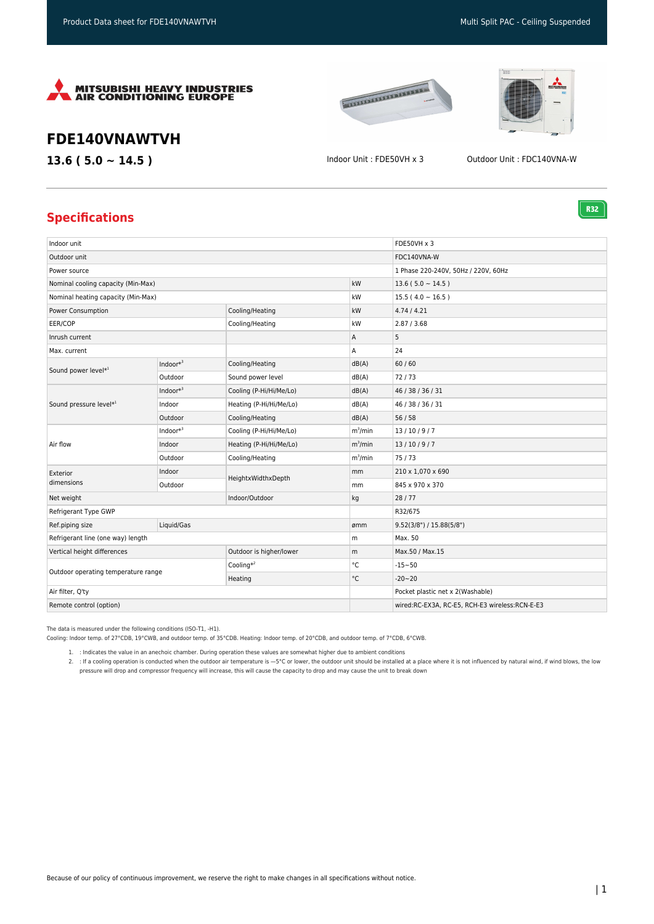

# **EXAMPLE DESCRIPTION**



**R32** 

## **FDE140VNAWTVH**

**13.6 ( 5.0 ~ 14.5 )** Indoor Unit : FDE50VH x 3 Outdoor Unit : FDC140VNA-W

### **Specifications**

| Indoor unit                         |              |                         |            | FDE50VH x 3                                    |
|-------------------------------------|--------------|-------------------------|------------|------------------------------------------------|
| Outdoor unit                        |              |                         |            | FDC140VNA-W                                    |
| Power source                        |              |                         |            | 1 Phase 220-240V, 50Hz / 220V, 60Hz            |
| Nominal cooling capacity (Min-Max)  |              |                         | kW         | $13.6(5.0 \sim 14.5)$                          |
| Nominal heating capacity (Min-Max)  |              |                         | kW         | $15.5(4.0 \sim 16.5)$                          |
| Power Consumption                   |              | Cooling/Heating         | kW         | 4.74/4.21                                      |
| EER/COP                             |              | Cooling/Heating         | kW         | 2.87 / 3.68                                    |
| Inrush current                      |              |                         | Α          | 5                                              |
| Max. current                        |              |                         | Α          | 24                                             |
| Sound power level*1                 | Indoor $*^3$ | Cooling/Heating         | dB(A)      | 60/60                                          |
|                                     | Outdoor      | Sound power level       | dB(A)      | 72/73                                          |
| Sound pressure level*1              | Indoor $*^3$ | Cooling (P-Hi/Hi/Me/Lo) | dB(A)      | 46 / 38 / 36 / 31                              |
|                                     | Indoor       | Heating (P-Hi/Hi/Me/Lo) | dB(A)      | 46 / 38 / 36 / 31                              |
|                                     | Outdoor      | Cooling/Heating         | dB(A)      | 56/58                                          |
| Air flow                            | Indoor $*^3$ | Cooling (P-Hi/Hi/Me/Lo) | $m^3/m$ in | 13/10/9/7                                      |
|                                     | Indoor       | Heating (P-Hi/Hi/Me/Lo) | $m^3/m$ in | 13/10/9/7                                      |
|                                     | Outdoor      | Cooling/Heating         | $m^3/m$ in | 75/73                                          |
| Exterior<br>dimensions              | Indoor       | HeightxWidthxDepth      | mm         | 210 x 1,070 x 690                              |
|                                     | Outdoor      |                         | mm         | 845 x 970 x 370                                |
| Net weight                          |              | Indoor/Outdoor          | kg         | 28/77                                          |
| Refrigerant Type GWP                |              |                         |            | R32/675                                        |
| Ref.piping size                     | Liquid/Gas   |                         | ømm        | 9.52(3/8") / 15.88(5/8")                       |
| Refrigerant line (one way) length   |              |                         | m          | Max. 50                                        |
| Vertical height differences         |              | Outdoor is higher/lower | m          | Max.50 / Max.15                                |
| Outdoor operating temperature range |              | Cooling $*^2$           | °C         | $-15 - 50$                                     |
|                                     |              | Heating                 | °C         | $-20 - 20$                                     |
| Air filter, Q'ty                    |              |                         |            | Pocket plastic net x 2(Washable)               |
| Remote control (option)             |              |                         |            | wired:RC-EX3A, RC-E5, RCH-E3 wireless:RCN-E-E3 |

The data is measured under the following conditions (ISO-T1, -H1).

Cooling: Indoor temp. of 27°CDB, 19°CWB, and outdoor temp. of 35°CDB. Heating: Indoor temp. of 20°CDB, and outdoor temp. of 7°CDB, 6°CWB.

1. : Indicates the value in an anechoic chamber. During operation these values are somewhat higher due to ambient conditions

2. : If a cooling operation is conducted when the outdoor air temperature is —5°C or lower, the outdoor unit should be installed at a place where it is not influenced by natural wind, if wind blows, the low pressure will drop and compressor frequency will increase, this will cause the capacity to drop and may cause the unit to break down